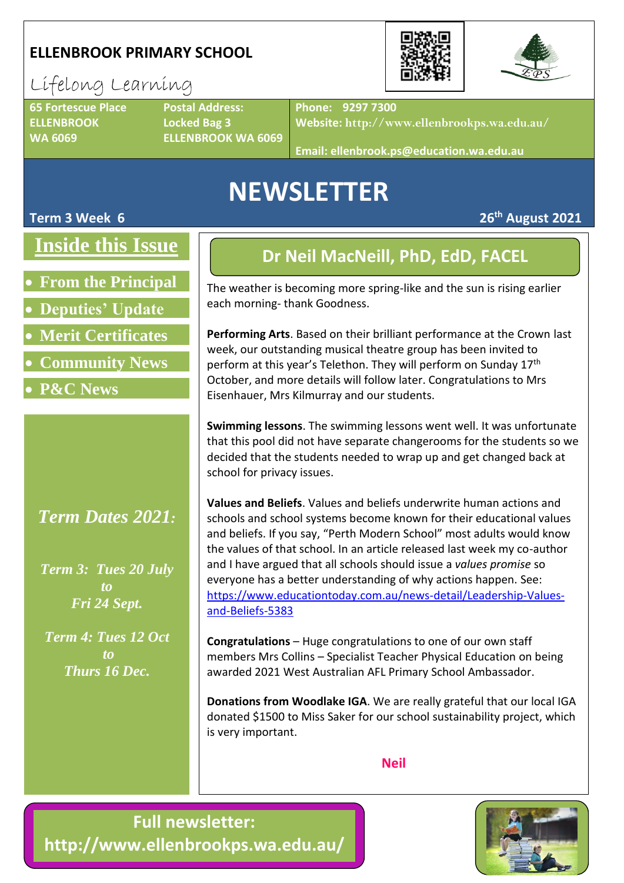### **ELLENBROOK PRIMARY SCHOOL**



### Lifelong Learning **65 Fortescue Place Postal Address:**

**ELLENBROOK Locked Bag 3**

**WA 6069 ELLENBROOK WA 6069**

**Phone: 9297 7300**

**Website: http://www.ellenbrookps.wa.edu.au/**

**Email: ellenbrook.ps@education.wa.edu.au**

## **NEWSLETTER**

#### **Term 3 Week 6 26th August 2021**

## **Inside this Issue**

- **From the Principal**
- **Deputies' Update**
- **Merit Certificates**
- **Community News**
- **P&C News**

### *Term Dates 2021:*

*Term 3: Tues 20 July to Fri 24 Sept.*

*Term 4: Tues 12 Oct to Thurs 16 Dec.*

## **Dr Neil MacNeill, PhD, EdD, FACEL**

The weather is becoming more spring-like and the sun is rising earlier each morning- thank Goodness.

**Performing Arts**. Based on their brilliant performance at the Crown last week, our outstanding musical theatre group has been invited to perform at this year's Telethon. They will perform on Sunday 17<sup>th</sup> October, and more details will follow later. Congratulations to Mrs Eisenhauer, Mrs Kilmurray and our students.

**Swimming lessons**. The swimming lessons went well. It was unfortunate that this pool did not have separate changerooms for the students so we decided that the students needed to wrap up and get changed back at school for privacy issues.

**Values and Beliefs**. Values and beliefs underwrite human actions and schools and school systems become known for their educational values and beliefs. If you say, "Perth Modern School" most adults would know the values of that school. In an article released last week my co-author and I have argued that all schools should issue a *values promise* so everyone has a better understanding of why actions happen. See: [https://www.educationtoday.com.au/news-detail/Leadership-Values](https://www.educationtoday.com.au/news-detail/Leadership-Values-and-Beliefs-5383)[and-Beliefs-5383](https://www.educationtoday.com.au/news-detail/Leadership-Values-and-Beliefs-5383)

**Congratulations** – Huge congratulations to one of our own staff members Mrs Collins – Specialist Teacher Physical Education on being awarded 2021 West Australian AFL Primary School Ambassador.

**Donations from Woodlake IGA**. We are really grateful that our local IGA donated \$1500 to Miss Saker for our school sustainability project, which is very important.

**Neil**

**Full newsletter: http://www.ellenbrookps.wa.edu.au/**

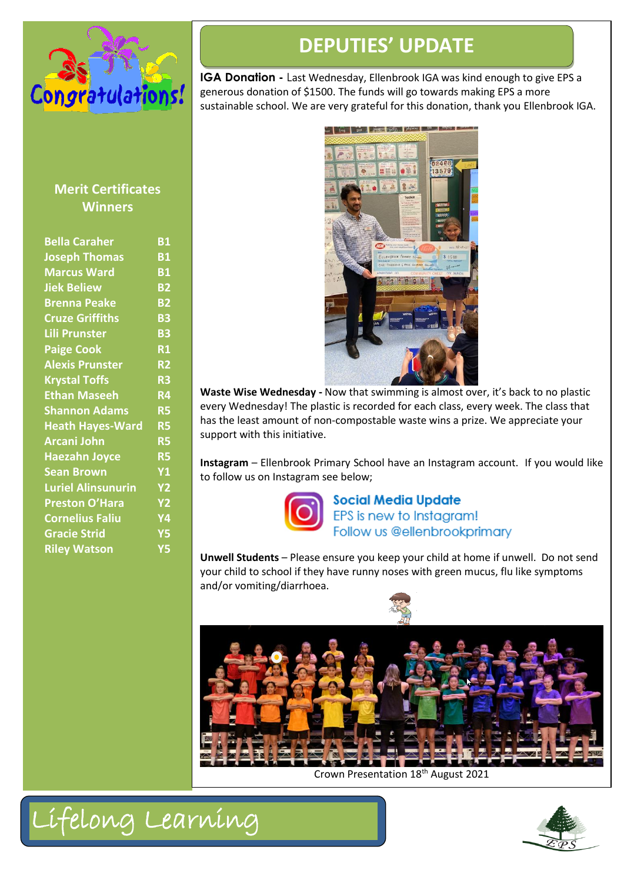

## **DEPUTIES' UPDATE**

**IGA Donation -** Last Wednesday, Ellenbrook IGA was kind enough to give EPS a generous donation of \$1500. The funds will go towards making EPS a more sustainable school. We are very grateful for this donation, thank you Ellenbrook IGA.

#### **Merit Certificates Winners**

| <b>Bella Caraher</b>      | <b>B1</b>       |
|---------------------------|-----------------|
| <b>Joseph Thomas</b>      | <b>B1</b>       |
| <b>Marcus Ward</b>        | <b>B1</b>       |
| <b>Jiek Beliew</b>        | <b>B2</b>       |
| <b>Brenna Peake</b>       | <b>B2</b>       |
| <b>Cruze Griffiths</b>    | <b>B3</b>       |
| <b>Lili Prunster</b>      | <b>B3</b>       |
| <b>Paige Cook</b>         | <b>R1</b>       |
| <b>Alexis Prunster</b>    | R <sub>2</sub>  |
| <b>Krystal Toffs</b>      | R <sub>3</sub>  |
| <b>Ethan Maseeh</b>       | $\overline{R4}$ |
| <b>Shannon Adams</b>      | <b>R5</b>       |
| <b>Heath Hayes-Ward</b>   | <b>R5</b>       |
| <b>Arcani John</b>        | <b>R5</b>       |
| <b>Haezahn Joyce</b>      | <b>R5</b>       |
| <b>Sean Brown</b>         | Y1              |
| <b>Luriel Alinsunurin</b> | <b>Y2</b>       |
| <b>Preston O'Hara</b>     | <b>Y2</b>       |
| <b>Cornelius Faliu</b>    | Υ4              |
| <b>Gracie Strid</b>       | <b>Y5</b>       |
| <b>Riley Watson</b>       | Y5              |
|                           |                 |



**Waste Wise Wednesday -** Now that swimming is almost over, it's back to no plastic every Wednesday! The plastic is recorded for each class, every week. The class that has the least amount of non-compostable waste wins a prize. We appreciate your support with this initiative.

**Instagram** – Ellenbrook Primary School have an Instagram account. If you would like to follow us on Instagram see below;



**Social Media Update** EPS is new to Instagram! Follow us @ellenbrookprimary

**Unwell Students** – Please ensure you keep your child at home if unwell. Do not send your child to school if they have runny noses with green mucus, flu like symptoms and/or vomiting/diarrhoea.



Crown Presentation 18th August 2021



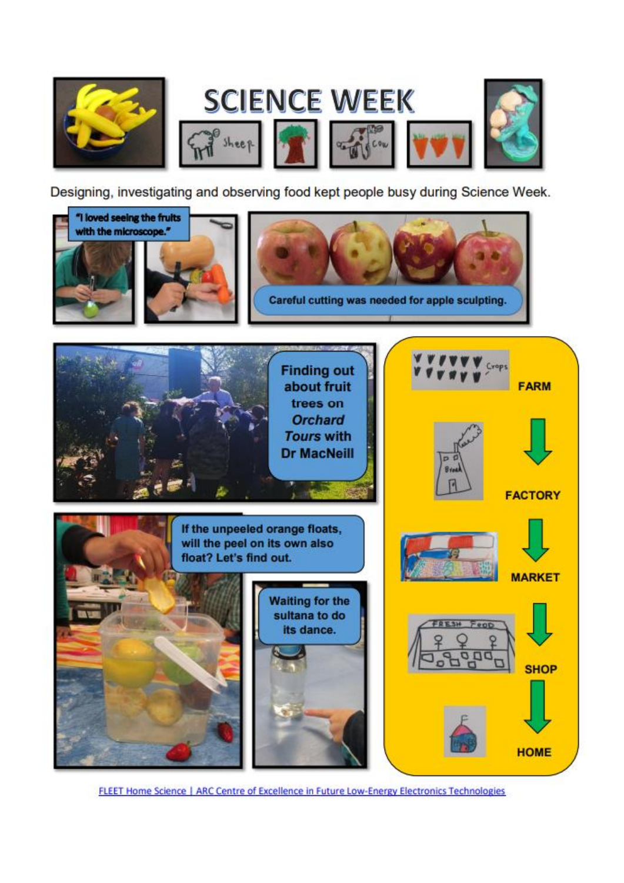

Designing, investigating and observing food kept people busy during Science Week.



FLEET Home Science | ARC Centre of Excellence in Future Low-Energy Electronics Technologies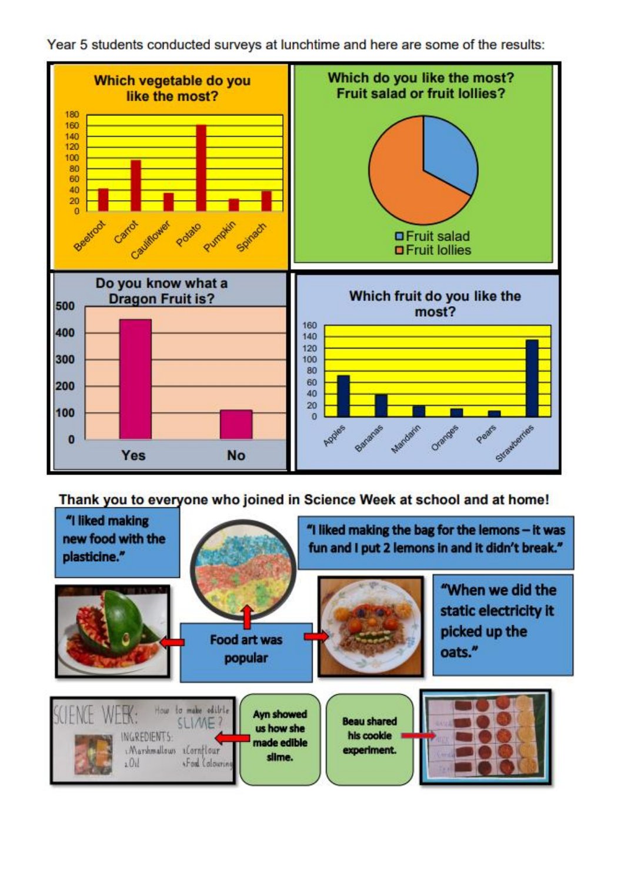



Thank you to everyone who joined in Science Week at school and at home!

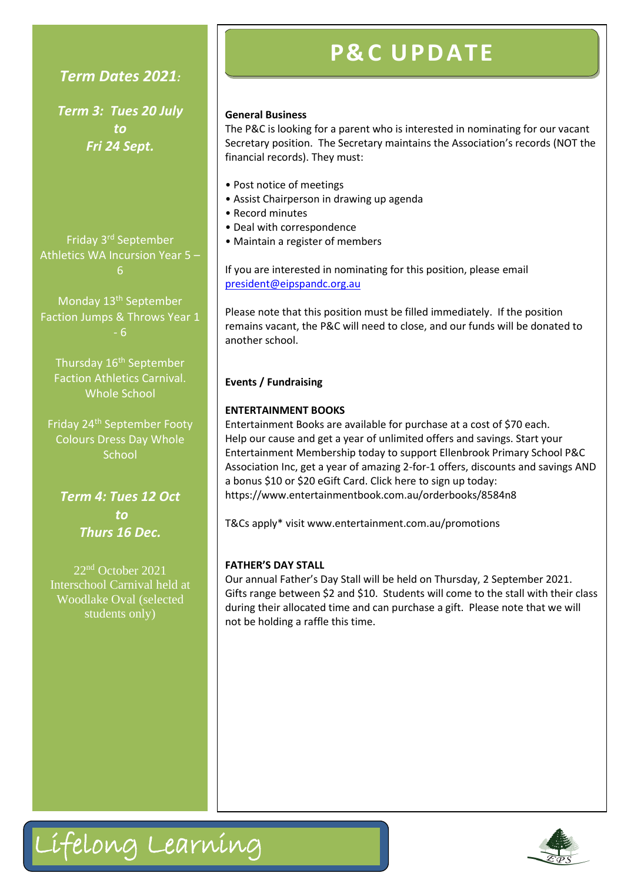#### *Term Dates 2021:*

*Term 3: Tues 20 July to Fri 24 Sept.*

Friday 3<sup>rd</sup> September Athletics WA Incursion Year 5 – 6

Monday 13th September Faction Jumps & Throws Year 1

Thursday 16<sup>th</sup> September Faction Athletics Carnival. Whole School

Friday 24<sup>th</sup> September Footy Colours Dress Day Whole **School** 

*Term 4: Tues 12 Oct to Thurs 16 Dec.*

22nd October 2021 Interschool Carnival held at Woodlake Oval (selected students only)

Lifelong Learning

## **P& C U PD ATE**

#### **General Business**

The P&C is looking for a parent who is interested in nominating for our vacant Secretary position. The Secretary maintains the Association's records (NOT the financial records). They must:

- Post notice of meetings
- Assist Chairperson in drawing up agenda
- Record minutes
- Deal with correspondence
- Maintain a register of members

If you are interested in nominating for this position, please email [president@eipspandc.org.au](mailto:president@eipspandc.org.au)

Please note that this position must be filled immediately. If the position remains vacant, the P&C will need to close, and our funds will be donated to another school.

#### **Events / Fundraising**

#### **ENTERTAINMENT BOOKS**

Entertainment Books are available for purchase at a cost of \$70 each. Help our cause and get a year of unlimited offers and savings. Start your Entertainment Membership today to support Ellenbrook Primary School P&C Association Inc, get a year of amazing 2-for-1 offers, discounts and savings AND a bonus \$10 or \$20 eGift Card. Click here to sign up today: <https://www.entertainmentbook.com.au/orderbooks/8584n8>

T&Cs apply\* visit [www.entertainment.com.au/promotions](http://www.entertainment.com.au/promotions)

#### **FATHER'S DAY STALL**

Our annual Father's Day Stall will be held on Thursday, 2 September 2021. Gifts range between \$2 and \$10. Students will come to the stall with their class during their allocated time and can purchase a gift. Please note that we will not be holding a raffle this time.

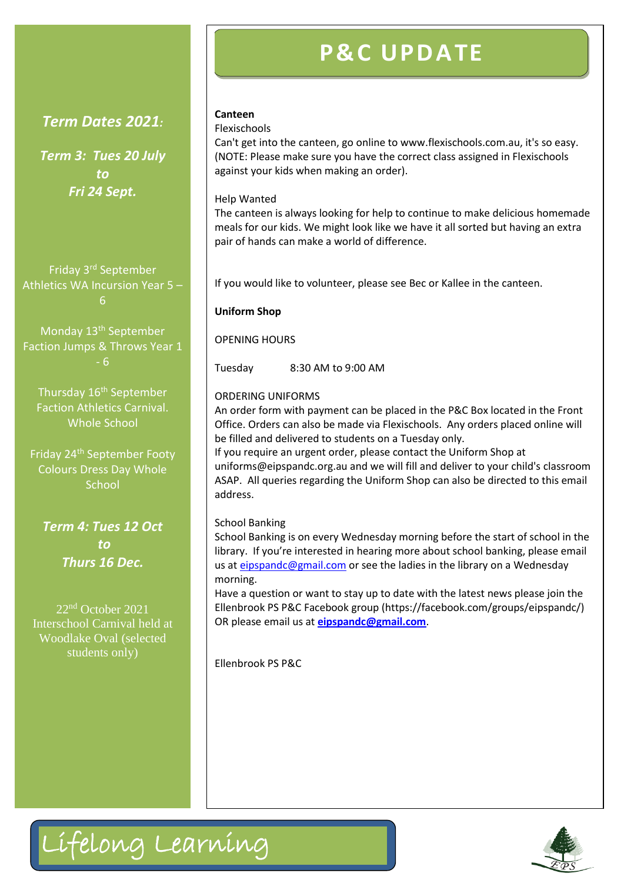## **P& C U PD ATE**

#### *Term Dates 2021:*

*Term 3: Tues 20 July to Fri 24 Sept.*

Friday 3rd September Athletics WA Incursion Year 5 – 6

Monday 13<sup>th</sup> September Faction Jumps & Throws Year 1 - 6

Thursday 16<sup>th</sup> September Faction Athletics Carnival. Whole School

Friday 24th September Footy Colours Dress Day Whole **School** 

*Term 4: Tues 12 Oct to Thurs 16 Dec.*

22nd October 2021 Interschool Carnival held at Woodlake Oval (selected students only)

#### **Canteen**

#### Flexischools

Can't get into the canteen, go online to www.flexischools.com.au, it's so easy. (NOTE: Please make sure you have the correct class assigned in Flexischools against your kids when making an order).

#### Help Wanted

The canteen is always looking for help to continue to make delicious homemade meals for our kids. We might look like we have it all sorted but having an extra pair of hands can make a world of difference.

If you would like to volunteer, please see Bec or Kallee in the canteen.

#### **Uniform Shop**

OPENING HOURS

Tuesday 8:30 AM to 9:00 AM

#### ORDERING UNIFORMS

An order form with payment can be placed in the P&C Box located in the Front Office. Orders can also be made via Flexischools. Any orders placed online will be filled and delivered to students on a Tuesday only.

If you require an urgent order, please contact the Uniform Shop at uniforms@eipspandc.org.au and we will fill and deliver to your child's classroom ASAP. All queries regarding the Uniform Shop can also be directed to this email address.

#### School Banking

School Banking is on every Wednesday morning before the start of school in the library. If you're interested in hearing more about school banking, please email us at [eipspandc@gmail.com](mailto:eipspandc@gmail.com) or see the ladies in the library on a Wednesday morning.

Have a question or want to stay up to date with the latest news please join the Ellenbrook PS P&C Facebook group (https://facebook.com/groups/eipspandc/) OR please email us at **[eipspandc@gmail.com](mailto:eipspandc@gmail.com)**.

Ellenbrook PS P&C



## Lifelong Learning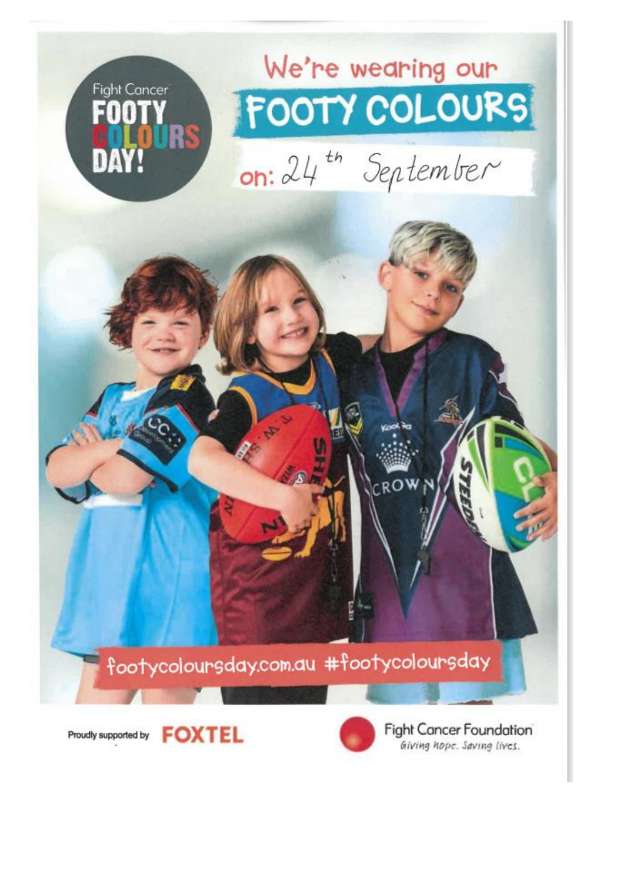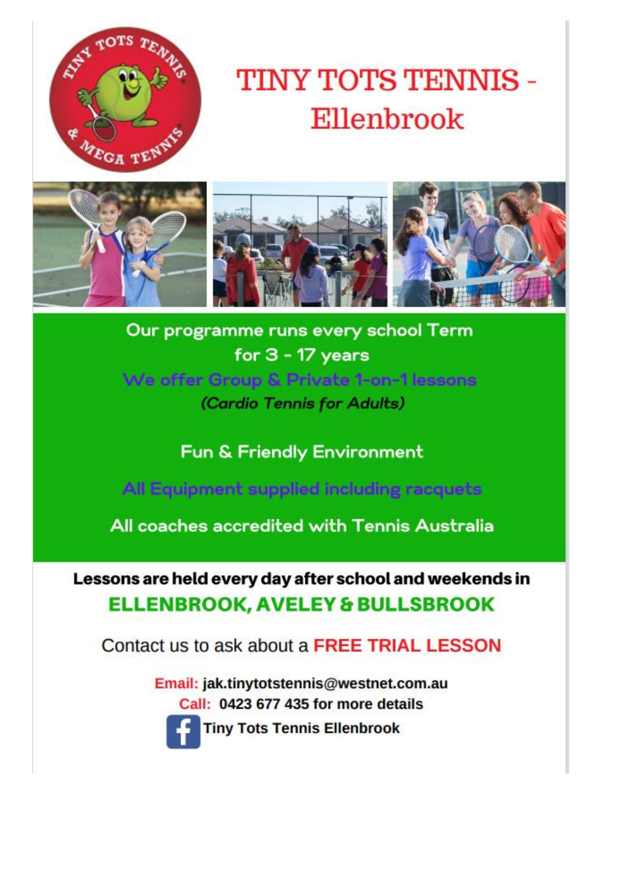

## TINY TOTS TENNIS -Ellenbrook



Our programme runs every school Term for  $3 - 17$  years We offer Group & Private 1-on-1 lessons (Cardio Tennis for Adults)

Fun & Friendly Environment

All Equipment supplied including racquets

All coaches accredited with Tennis Australia

Lessons are held every day after school and weekends in **ELLENBROOK, AVELEY & BULLSBROOK** 

Contact us to ask about a FREE TRIAL LESSON

Email: jak.tinytotstennis@westnet.com.au Call: 0423 677 435 for more details



**Tiny Tots Tennis Ellenbrook**